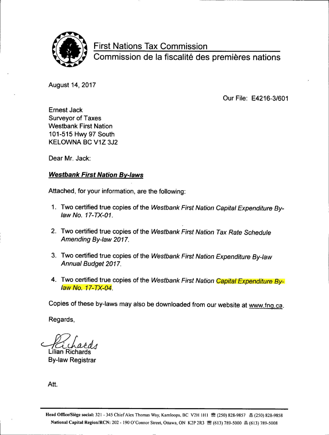

First Nations Tax Commission

Commission de la fiscalité des premières nations

August 14, 2017

Our File: E4216-3/601

Ernest Jack Surveyor of Taxes Westbank First Nation 101-515 Hwy 97 South KELOWNA BC V1Z 3J2

Dear Mr. Jack:

## Westbank First Nation By-laws

Attached, for your information, are the following:

- 1. Two certified true copies of the Westbank First Nation Capital Expenditure Bylaw No. 17-TX-01.
- 2. Two certified true copies of the Westbank First Nation Tax Rate Schedule Amending By-law 2017.
- 3. Two certified true copies of the Westbank First Nation Expenditure By-law Annual Budget 2017.
- 4. Two certified true copies of the Westbank First Nation Capital Expenditure Bylaw No. 17-TX-04.

Copies of these by-laws may also be downloaded from our website at www.fng.ca.

Regards,

Lilian Richards

**By-law Registrar** 

Att.

Head Office/Siège social: 321 - 345 Chief Alex Thomas Way, Kamloops, BC V2H 1H1 <sup>3</sup> (250) 828-9857 昌 (250) 828-9858 National Capital Region/RCN: 202 - 190 O'Connor Street, Ottawa, ON K2P 2R3 图 (613) 789-5000 晶 (613) 789-5008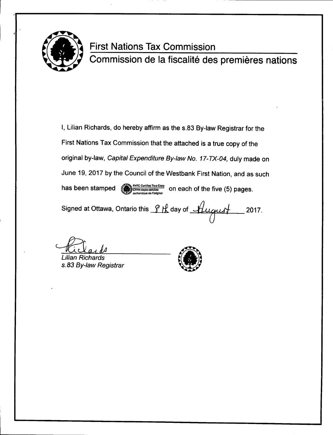

# First Nations Tax Commission

Commission de la fiscalité des premières nations

I, Lilian Richards, do hereby affirm as the s.83 By-law Registrar for the First Nations Tax Commission that the attached is a true copy of the original by-law, Capital Expenditure By-law No. 17-TX-04, duly made on June 19, 2017 by the Council of the Westbank First Nation, and as such has been stamped FNTC Canilled Thus Copy<br>CFFN copie centilles<br>authonique de l'original Signed at Ottawa, Ontario this  $\frac{\partial f}{\partial x}$  day of  $\frac{f}{\partial y}$  117.

Kiclar

Lilian Richards<br>s.83 By-law Registrar (1999)

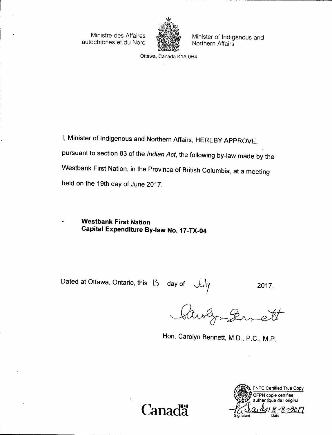autochtones et du Nord



Ministre des Affaires Minister of Indigenous and<br>ochtones et du Nord (ASSE) Northern Affairs

Ottawa, Canada K1A OH4

I, Minister of Indigenous and Northern Affairs, HEREBY APPROVE, pursuant to section 83 of the Indian Act, the following by-law made by the Westbank First Nation, in the Province of British Columbia, at a meeting held on the 19th day of June 2017.

Westbank First Nation Capital Expenditure By-law No. 17-TX-04

Dated at Ottawa, Ontario, this  $13$  day of July 2017.<br>Clubly 2017. k<sup>t</sup>

Hon. Carolyn Bennett, M.D., P.C., M.P.



FNTC Certified True Copy CFPN copie certifiée authentique de l'original  $\text{Canad}$ a  $\frac{1}{2}$ Date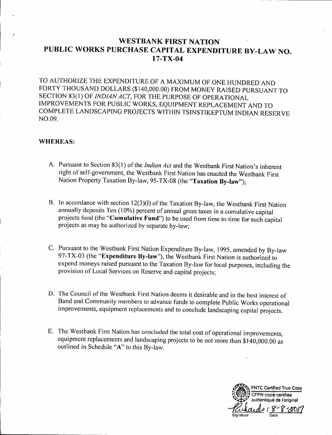# WESTBANK FIRST NATION PUBLIC WORKS PURCHASE CAPITAL EXPENDITURE BY-LAW NO.  $17 - TX - 04$

TO AUTHORIZE THE EXPENDITURE OF A MAXIMUM OF ONE HUNDRED AND FORTY THOUSAND DOLLARS (\$ 140, 000.00) FROM MONEY RAISED PURSUANT TO SECTION 83(1) OF INDIAN ACT, FOR THE PURPOSE OF OPERATIONAL IMPROVEMENTS FOR PUBLIC WORKS, EQUIPMENT REPLACEMENT AND TO COMPLETE LANDSCAPING PROJECTS WITHIN TSINSTIKEPTUM INDIAN RESERVE NO. 09.

## WHEREAS:

- A. Pursuant to Section 83(1) of the *Indian Act* and the Westbank First Nation's inherent right of self- government, the Westbank First Nation has enacted the Westbank First Nation Property Taxation By-law, 95-TX-08 (the "Taxation By-law");
- B. In accordance with section 12(3)(1) of the Taxation By-law, the Westbank First Nation annually deposits Ten (10%) percent of annual gross taxes in a cumulative capital projects fund (the "Cumulative Fund") to be used from time to time for such capital projects as may be authorized by separate by-law;
- C. Pursuant to the Westbank First Nation Expenditure By-law, 1995, amended by By-law 97-TX-03 (the "Expenditure By-law"), the Westbank First Nation is authorized to expend moneys raised pursuant to the Taxation By- law for local purposes, including the provision of Local Services on Reserve and capital projects;
- D. The Council of the Westbank First Nation deems it desirable and in the best interest of Band and Community members to advance funds to complete Public Works operational improvements, equipment replacements and to conclude landscaping capital projects.
- E. The Westbank First Nation has concluded the total cost of operational improvements, equipment replacements and landscaping projects to be not more than \$ 140, 000. 00 as outlined in Schedule "A" to this By-law.

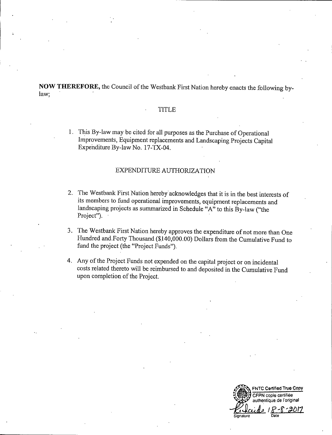NOW THEREFORE, the Council of the Westbank First Nation hereby enacts the following bylaw;

#### TITLE

1. This By-law may be cited for all purposes as the Purchase of Operational Improvements, Equipment replacements and Landscaping Projects Capital Expenditure By-law No. 17-TX-04.

## EXPENDTTURE AUTHORIZATION

- 2. The Westbank First Nation hereby acknowledges that it is in the best interests of its members to fund operational improvements, equipment replacements and landscaping projects as summarized in Schedule "A" to this By-law ("the Project").
- 3. The Westbank First Nation hereby approves the expenditure of not more than One Hundred and Forty Thousand (\$140,000.00) Dollars from the Cumulative Fund to fund the project (the "Project Funds").
- 4. Any of the Project Funds not expended on the capital project or on incidental costs related thereto will be reimbursed to and deposited in the Cumulative Fund upon completion of the Project.

77 FNTC Certified True Copy CFPN copie certifiée authentique de l'original Signature Date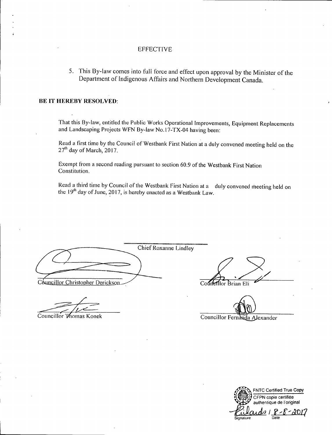### **EFFECTIVE**

5. This By-law comes into full force and effect upon approval by the Minister of the Department of Indigenous Affairs and Northern Development Canada.

#### BE IT HEREBY RESOLVED:

That this By-law, entitled the Public Works Operational Improvements, Equipment Replacements and Landscaping Projects WFN By-law No.17-TX-04 having been:

Read a first time by the Council of Westbank First Nation at a duly convened meeting held on the 27<sup>th</sup> day of March, 2017.

Exempt from <sup>a</sup> second reading pursuant to section 60. <sup>9</sup> of the Westbank First Nation Constitution.

Read <sup>a</sup> third time by Council of the Westbank First Nation at <sup>a</sup> duly convened meeting held on the  $19<sup>th</sup>$  day of June, 2017, is hereby enacted as a Westbank Law.

Chief.Roxanne Lindley Councillor Christopher Derickson Councillor Brian Eli

 $\overline{\phantom{a}}$ 

ਵਿ

Councillor Thomas Konek Councillor Fernanda Alexander